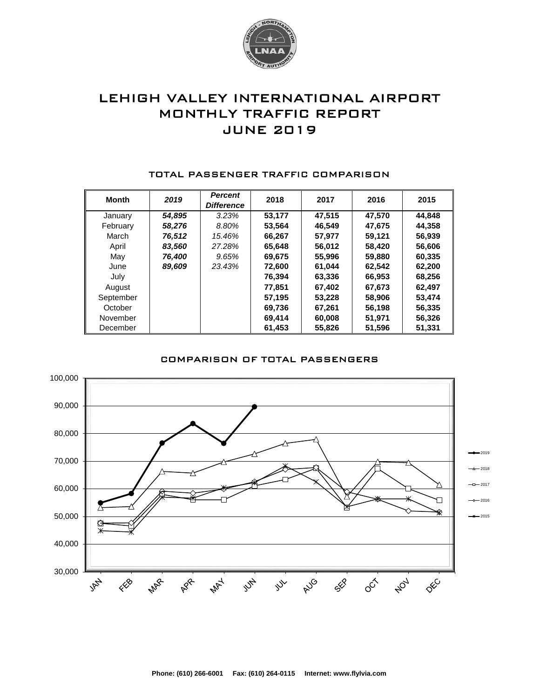

# LEHIGH VALLEY INTERNATIONAL AIRPORT MONTHLY TRAFFIC REPORT JUNE 2019

| <b>Month</b> | 2019   | <b>Percent</b><br><b>Difference</b> | 2018   | 2017   | 2016   | 2015   |
|--------------|--------|-------------------------------------|--------|--------|--------|--------|
| January      | 54.895 | 3.23%                               | 53.177 | 47.515 | 47.570 | 44.848 |
| February     | 58,276 | 8.80%                               | 53.564 | 46.549 | 47,675 | 44,358 |
| March        | 76,512 | 15.46%                              | 66,267 | 57.977 | 59,121 | 56,939 |
| April        | 83.560 | 27.28%                              | 65.648 | 56.012 | 58.420 | 56,606 |
| May          | 76,400 | 9.65%                               | 69.675 | 55,996 | 59,880 | 60,335 |
| June         | 89,609 | 23.43%                              | 72,600 | 61.044 | 62,542 | 62,200 |
| July         |        |                                     | 76,394 | 63,336 | 66,953 | 68,256 |
| August       |        |                                     | 77.851 | 67,402 | 67,673 | 62,497 |
| September    |        |                                     | 57,195 | 53,228 | 58,906 | 53,474 |
| October      |        |                                     | 69,736 | 67,261 | 56,198 | 56,335 |
| November     |        |                                     | 69,414 | 60,008 | 51,971 | 56,326 |
| December     |        |                                     | 61,453 | 55,826 | 51,596 | 51.331 |

#### TOTAL PASSENGER TRAFFIC COMPARISON

### COMPARISON OF TOTAL PASSENGERS

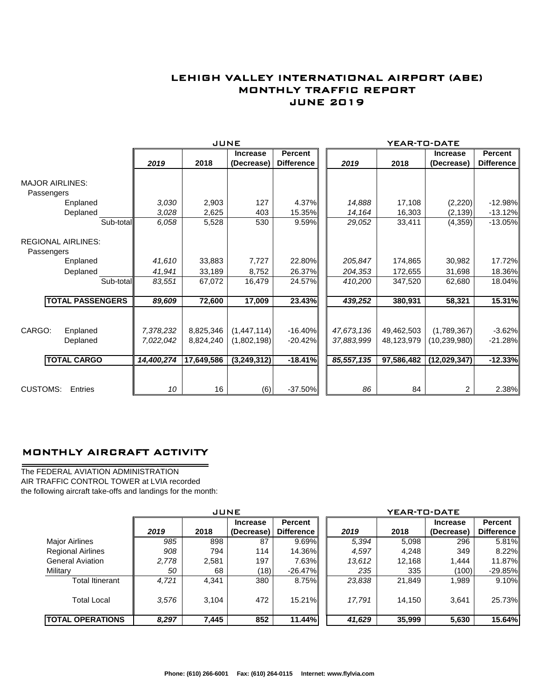## LEHIGH VALLEY INTERNATIONAL AIRPORT (ABE) MONTHLY TRAFFIC REPORT JUNE 2019

|                                         |                         |            | JUNE       |                 |                   |      | YEAR-TO-DATE |            |                 |                   |
|-----------------------------------------|-------------------------|------------|------------|-----------------|-------------------|------|--------------|------------|-----------------|-------------------|
|                                         |                         |            |            | <b>Increase</b> | <b>Percent</b>    |      |              |            | <b>Increase</b> | <b>Percent</b>    |
|                                         |                         | 2019       | 2018       | (Decrease)      | <b>Difference</b> | 2019 |              | 2018       | (Decrease)      | <b>Difference</b> |
| <b>MAJOR AIRLINES:</b>                  |                         |            |            |                 |                   |      |              |            |                 |                   |
| Passengers                              |                         |            |            |                 |                   |      |              |            |                 |                   |
|                                         | Enplaned                | 3,030      | 2,903      | 127             | 4.37%             |      | 14,888       | 17,108     | (2,220)         | $-12.98%$         |
|                                         | Deplaned                | 3,028      | 2,625      | 403             | 15.35%            |      | 14,164       | 16,303     | (2, 139)        | $-13.12%$         |
|                                         | Sub-total               | 6,058      | 5,528      | 530             | 9.59%             |      | 29,052       | 33,411     | (4,359)         | $-13.05%$         |
| <b>REGIONAL AIRLINES:</b><br>Passengers |                         |            |            |                 |                   |      |              |            |                 |                   |
|                                         | Enplaned                | 41,610     | 33,883     | 7,727           | 22.80%            |      | 205,847      | 174,865    | 30,982          | 17.72%            |
|                                         | Deplaned                | 41.941     | 33,189     | 8,752           | 26.37%            |      | 204,353      | 172,655    | 31,698          | 18.36%            |
|                                         | Sub-total               | 83,551     | 67,072     | 16,479          | 24.57%            |      | 410,200      | 347,520    | 62,680          | 18.04%            |
|                                         | <b>TOTAL PASSENGERS</b> | 89,609     | 72,600     | 17,009          | 23.43%            |      | 439,252      | 380,931    | 58,321          | 15.31%            |
|                                         |                         |            |            |                 |                   |      |              |            |                 |                   |
| CARGO:                                  | Enplaned                | 7,378,232  | 8,825,346  | (1,447,114)     | $-16.40\%$        |      | 47,673,136   | 49,462,503 | (1,789,367)     | $-3.62%$          |
|                                         | Deplaned                | 7,022,042  | 8.824.240  | (1,802,198)     | $-20.42\%$        |      | 37,883,999   | 48,123,979 | (10, 239, 980)  | $-21.28%$         |
|                                         | <b>TOTAL CARGO</b>      | 14,400,274 | 17,649,586 | (3,249,312)     | $-18.41%$         |      | 85,557,135   | 97,586,482 | (12,029,347)    | $-12.33%$         |
|                                         |                         |            |            |                 |                   |      |              |            |                 |                   |
| <b>CUSTOMS:</b>                         | Entries                 | 10         | 16         | (6)             | $-37.50\%$        |      | 86           | 84         | 2               | 2.38%             |

## MONTHLY AIRCRAFT ACTIVITY

The FEDERAL AVIATION ADMINISTRATION AIR TRAFFIC CONTROL TOWER at LVIA recorded the following aircraft take-offs and landings for the month:

 $\overline{\phantom{0}}$ 

|                          | <b>JUNE</b> |       |                               |                                     |  | YEAR-TO-DATE |        |                               |                              |  |  |
|--------------------------|-------------|-------|-------------------------------|-------------------------------------|--|--------------|--------|-------------------------------|------------------------------|--|--|
|                          | 2019        | 2018  | <b>Increase</b><br>(Decrease) | <b>Percent</b><br><b>Difference</b> |  | 2019         | 2018   | <b>Increase</b><br>(Decrease) | Percent<br><b>Difference</b> |  |  |
| <b>Major Airlines</b>    | 985         | 898   | 87                            | $9.69\%$                            |  | 5,394        | 5,098  | 296                           | 5.81%                        |  |  |
| <b>Regional Airlines</b> | 908         | 794   | 114                           | 14.36%                              |  | 4,597        | 4,248  | 349                           | 8.22%                        |  |  |
| <b>General Aviation</b>  | 2,778       | 2,581 | 197                           | 7.63%                               |  | 13,612       | 12,168 | 1.444                         | 11.87%                       |  |  |
| Military                 | 50          | 68    | (18)                          | $-26.47\%$                          |  | 235          | 335    | (100)                         | $-29.85\%$                   |  |  |
| Total Itinerant          | 4.721       | 4.341 | 380                           | 8.75%                               |  | 23,838       | 21,849 | 1,989                         | $9.10\%$                     |  |  |
| <b>Total Local</b>       | 3,576       | 3,104 | 472                           | 15.21%I                             |  | 17,791       | 14,150 | 3,641                         | 25.73%                       |  |  |
| <b>ITOTAL OPERATIONS</b> | 8,297       | 7,445 | 852                           | 11.44%                              |  | 41,629       | 35,999 | 5,630                         | 15.64%                       |  |  |